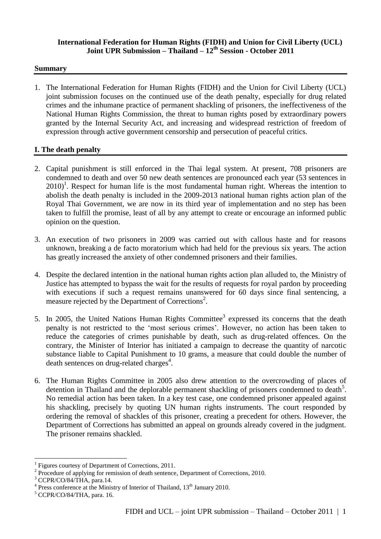#### **International Federation for Human Rights (FIDH) and Union for Civil Liberty (UCL) Joint UPR Submission – Thailand – 12th Session - October 2011**

#### **Summary**

1. The International Federation for Human Rights (FIDH) and the Union for Civil Liberty (UCL) joint submission focuses on the continued use of the death penalty, especially for drug related crimes and the inhumane practice of permanent shackling of prisoners, the ineffectiveness of the National Human Rights Commission, the threat to human rights posed by extraordinary powers granted by the Internal Security Act, and increasing and widespread restriction of freedom of expression through active government censorship and persecution of peaceful critics.

### **I. The death penalty**

- 2. Capital punishment is still enforced in the Thai legal system. At present, 708 prisoners are condemned to death and over 50 new death sentences are pronounced each year (53 sentences in  $2010$ <sup>1</sup>. Respect for human life is the most fundamental human right. Whereas the intention to abolish the death penalty is included in the 2009-2013 national human rights action plan of the Royal Thai Government, we are now in its third year of implementation and no step has been taken to fulfill the promise, least of all by any attempt to create or encourage an informed public opinion on the question.
- 3. An execution of two prisoners in 2009 was carried out with callous haste and for reasons unknown, breaking a de facto moratorium which had held for the previous six years. The action has greatly increased the anxiety of other condemned prisoners and their families.
- 4. Despite the declared intention in the national human rights action plan alluded to, the Ministry of Justice has attempted to bypass the wait for the results of requests for royal pardon by proceeding with executions if such a request remains unanswered for 60 days since final sentencing, a measure rejected by the Department of Corrections<sup>2</sup>.
- 5. In 2005, the United Nations Human Rights Committee<sup>3</sup> expressed its concerns that the death penalty is not restricted to the "most serious crimes". However, no action has been taken to reduce the categories of crimes punishable by death, such as drug-related offences. On the contrary, the Minister of Interior has initiated a campaign to decrease the quantity of narcotic substance liable to Capital Punishment to 10 grams, a measure that could double the number of death sentences on drug-related charges<sup>4</sup>.
- 6. The Human Rights Committee in 2005 also drew attention to the overcrowding of places of detention in Thailand and the deplorable permanent shackling of prisoners condemned to death<sup>5</sup>. No remedial action has been taken. In a key test case, one condemned prisoner appealed against his shackling, precisely by quoting UN human rights instruments. The court responded by ordering the removal of shackles of this prisoner, creating a precedent for others. However, the Department of Corrections has submitted an appeal on grounds already covered in the judgment. The prisoner remains shackled.

<u>.</u>

<sup>1</sup> Figures courtesy of Department of Corrections, 2011.

 $2^{2}$  Procedure of applying for remission of death sentence, Department of Corrections, 2010.

<sup>&</sup>lt;sup>3</sup> CCPR/CO/84/THA, para.14.

<sup>&</sup>lt;sup>4</sup> Press conference at the Ministry of Interior of Thailand, 13<sup>th</sup> January 2010.

 $5$  CCPR/CO/84/THA, para. 16.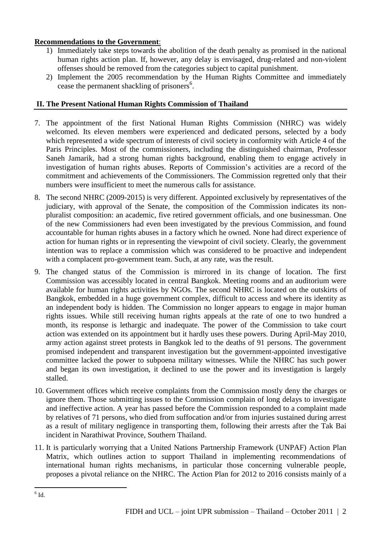## **Recommendations to the Government**:

- 1) Immediately take steps towards the abolition of the death penalty as promised in the national human rights action plan. If, however, any delay is envisaged, drug-related and non-violent offenses should be removed from the categories subject to capital punishment.
- 2) Implement the 2005 recommendation by the Human Rights Committee and immediately cease the permanent shackling of prisoners<sup>6</sup>.

## **II. The Present National Human Rights Commission of Thailand**

- 7. The appointment of the first National Human Rights Commission (NHRC) was widely welcomed. Its eleven members were experienced and dedicated persons, selected by a body which represented a wide spectrum of interests of civil society in conformity with Article 4 of the Paris Principles. Most of the commissioners, including the distinguished chairman, Professor Saneh Jamarik, had a strong human rights background, enabling them to engage actively in investigation of human rights abuses. Reports of Commission"s activities are a record of the commitment and achievements of the Commissioners. The Commission regretted only that their numbers were insufficient to meet the numerous calls for assistance.
- 8. The second NHRC (2009-2015) is very different. Appointed exclusively by representatives of the judiciary, with approval of the Senate, the composition of the Commission indicates its nonpluralist composition: an academic, five retired government officials, and one businessman. One of the new Commissioners had even been investigated by the previous Commission, and found accountable for human rights abuses in a factory which he owned. None had direct experience of action for human rights or in representing the viewpoint of civil society. Clearly, the government intention was to replace a commission which was considered to be proactive and independent with a complacent pro-government team. Such, at any rate, was the result.
- 9. The changed status of the Commission is mirrored in its change of location. The first Commission was accessibly located in central Bangkok. Meeting rooms and an auditorium were available for human rights activities by NGOs. The second NHRC is located on the outskirts of Bangkok, embedded in a huge government complex, difficult to access and where its identity as an independent body is hidden. The Commission no longer appears to engage in major human rights issues. While still receiving human rights appeals at the rate of one to two hundred a month, its response is lethargic and inadequate. The power of the Commission to take court action was extended on its appointment but it hardly uses these powers. During April-May 2010, army action against street protests in Bangkok led to the deaths of 91 persons. The government promised independent and transparent investigation but the government-appointed investigative committee lacked the power to subpoena military witnesses. While the NHRC has such power and began its own investigation, it declined to use the power and its investigation is largely stalled.
- 10. Government offices which receive complaints from the Commission mostly deny the charges or ignore them. Those submitting issues to the Commission complain of long delays to investigate and ineffective action. A year has passed before the Commission responded to a complaint made by relatives of 71 persons, who died from suffocation and/or from injuries sustained during arrest as a result of military negligence in transporting them, following their arrests after the Tak Bai incident in Narathiwat Province, Southern Thailand.
- 11. It is particularly worrying that a United Nations Partnership Framework (UNPAF) Action Plan Matrix, which outlines action to support Thailand in implementing recommendations of international human rights mechanisms, in particular those concerning vulnerable people, proposes a pivotal reliance on the NHRC. The Action Plan for 2012 to 2016 consists mainly of a

<sup>1</sup>  $^6$  Id.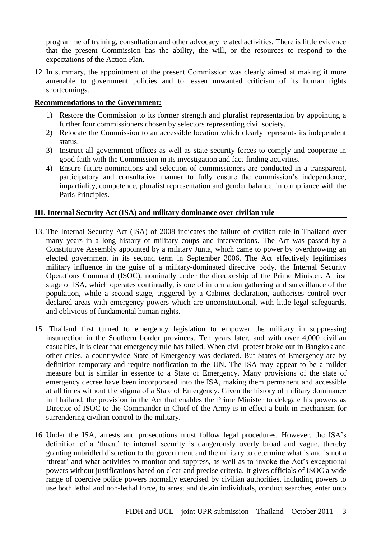programme of training, consultation and other advocacy related activities. There is little evidence that the present Commission has the ability, the will, or the resources to respond to the expectations of the Action Plan.

12. In summary, the appointment of the present Commission was clearly aimed at making it more amenable to government policies and to lessen unwanted criticism of its human rights shortcomings.

### **Recommendations to the Government:**

- 1) Restore the Commission to its former strength and pluralist representation by appointing a further four commissioners chosen by selectors representing civil society.
- 2) Relocate the Commission to an accessible location which clearly represents its independent status.
- 3) Instruct all government offices as well as state security forces to comply and cooperate in good faith with the Commission in its investigation and fact-finding activities.
- 4) Ensure future nominations and selection of commissioners are conducted in a transparent, participatory and consultative manner to fully ensure the commission's independence, impartiality, competence, pluralist representation and gender balance, in compliance with the Paris Principles.

### **III. Internal Security Act (ISA) and military dominance over civilian rule**

- 13. The Internal Security Act (ISA) of 2008 indicates the failure of civilian rule in Thailand over many years in a long history of military coups and interventions. The Act was passed by a Constitutive Assembly appointed by a military Junta, which came to power by overthrowing an elected government in its second term in September 2006. The Act effectively legitimises military influence in the guise of a military-dominated directive body, the Internal Security Operations Command (ISOC), nominally under the directorship of the Prime Minister. A first stage of ISA, which operates continually, is one of information gathering and surveillance of the population, while a second stage, triggered by a Cabinet declaration, authorises control over declared areas with emergency powers which are unconstitutional, with little legal safeguards, and oblivious of fundamental human rights.
- 15. Thailand first turned to emergency legislation to empower the military in suppressing insurrection in the Southern border provinces. Ten years later, and with over 4,000 civilian casualties, it is clear that emergency rule has failed. When civil protest broke out in Bangkok and other cities, a countrywide State of Emergency was declared. But States of Emergency are by definition temporary and require notification to the UN. The ISA may appear to be a milder measure but is similar in essence to a State of Emergency. Many provisions of the state of emergency decree have been incorporated into the ISA, making them permanent and accessible at all times without the stigma of a State of Emergency. Given the history of military dominance in Thailand, the provision in the Act that enables the Prime Minister to delegate his powers as Director of ISOC to the Commander-in-Chief of the Army is in effect a built-in mechanism for surrendering civilian control to the military.
- 16. Under the ISA, arrests and prosecutions must follow legal procedures. However, the ISA"s definition of a 'threat' to internal security is dangerously overly broad and vague, thereby granting unbridled discretion to the government and the military to determine what is and is not a "threat" and what activities to monitor and suppress, as well as to invoke the Act"s exceptional powers without justifications based on clear and precise criteria. It gives officials of ISOC a wide range of coercive police powers normally exercised by civilian authorities, including powers to use both lethal and non-lethal force, to arrest and detain individuals, conduct searches, enter onto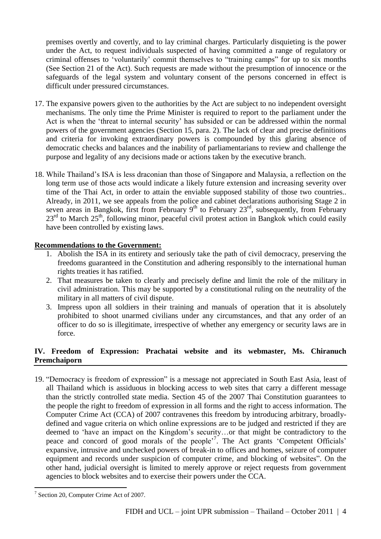premises overtly and covertly, and to lay criminal charges. Particularly disquieting is the power under the Act, to request individuals suspected of having committed a range of regulatory or criminal offenses to "voluntarily" commit themselves to "training camps" for up to six months (See Section 21 of the Act). Such requests are made without the presumption of innocence or the safeguards of the legal system and voluntary consent of the persons concerned in effect is difficult under pressured circumstances.

- 17. The expansive powers given to the authorities by the Act are subject to no independent oversight mechanisms. The only time the Prime Minister is required to report to the parliament under the Act is when the "threat to internal security" has subsided or can be addressed within the normal powers of the government agencies (Section 15, para. 2). The lack of clear and precise definitions and criteria for invoking extraordinary powers is compounded by this glaring absence of democratic checks and balances and the inability of parliamentarians to review and challenge the purpose and legality of any decisions made or actions taken by the executive branch.
- 18. While Thailand"s ISA is less draconian than those of Singapore and Malaysia, a reflection on the long term use of those acts would indicate a likely future extension and increasing severity over time of the Thai Act, in order to attain the enviable supposed stability of those two countries.. Already, in 2011, we see appeals from the police and cabinet declarations authorising Stage 2 in seven areas in Bangkok, first from February  $9<sup>th</sup>$  to February  $23<sup>rd</sup>$ , subsequently, from February  $23<sup>rd</sup>$  to March  $25<sup>th</sup>$ , following minor, peaceful civil protest action in Bangkok which could easily have been controlled by existing laws.

### **Recommendations to the Government:**

- 1. Abolish the ISA in its entirety and seriously take the path of civil democracy, preserving the freedoms guaranteed in the Constitution and adhering responsibly to the international human rights treaties it has ratified.
- 2. That measures be taken to clearly and precisely define and limit the role of the military in civil administration. This may be supported by a constitutional ruling on the neutrality of the military in all matters of civil dispute.
- 3. Impress upon all soldiers in their training and manuals of operation that it is absolutely prohibited to shoot unarmed civilians under any circumstances, and that any order of an officer to do so is illegitimate, irrespective of whether any emergency or security laws are in force.

# **IV. Freedom of Expression: Prachatai website and its webmaster, Ms. Chiranuch Premchaiporn**

19. "Democracy is freedom of expression" is a message not appreciated in South East Asia, least of all Thailand which is assiduous in blocking access to web sites that carry a different message than the strictly controlled state media. Section 45 of the 2007 Thai Constitution guarantees to the people the right to freedom of expression in all forms and the right to access information. The Computer Crime Act (CCA) of 2007 contravenes this freedom by introducing arbitrary, broadlydefined and vague criteria on which online expressions are to be judged and restricted if they are deemed to "have an impact on the Kingdom"s security…or that might be contradictory to the peace and concord of good morals of the people<sup>7</sup>. The Act grants 'Competent Officials' expansive, intrusive and unchecked powers of break-in to offices and homes, seizure of computer equipment and records under suspicion of computer crime, and blocking of websites". On the other hand, judicial oversight is limited to merely approve or reject requests from government agencies to block websites and to exercise their powers under the CCA.

<sup>1</sup> <sup>7</sup> Section 20, Computer Crime Act of 2007.